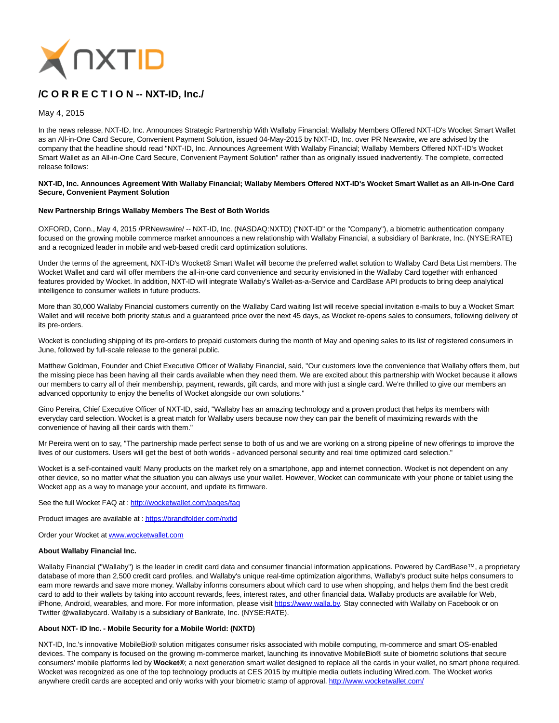

# **/C O R R E C T I O N -- NXT-ID, Inc./**

May 4, 2015

In the news release, NXT-ID, Inc. Announces Strategic Partnership With Wallaby Financial; Wallaby Members Offered NXT-ID's Wocket Smart Wallet as an All-in-One Card Secure, Convenient Payment Solution, issued 04-May-2015 by NXT-ID, Inc. over PR Newswire, we are advised by the company that the headline should read "NXT-ID, Inc. Announces Agreement With Wallaby Financial; Wallaby Members Offered NXT-ID's Wocket Smart Wallet as an All-in-One Card Secure, Convenient Payment Solution" rather than as originally issued inadvertently. The complete, corrected release follows:

#### **NXT-ID, Inc. Announces Agreement With Wallaby Financial; Wallaby Members Offered NXT-ID's Wocket Smart Wallet as an All-in-One Card Secure, Convenient Payment Solution**

### **New Partnership Brings Wallaby Members The Best of Both Worlds**

OXFORD, Conn., May 4, 2015 /PRNewswire/ -- NXT-ID, Inc. (NASDAQ:NXTD) ("NXT-ID" or the "Company"), a biometric authentication company focused on the growing mobile commerce market announces a new relationship with Wallaby Financial, a subsidiary of Bankrate, Inc. (NYSE:RATE) and a recognized leader in mobile and web-based credit card optimization solutions.

Under the terms of the agreement, NXT-ID's Wocket® Smart Wallet will become the preferred wallet solution to Wallaby Card Beta List members. The Wocket Wallet and card will offer members the all-in-one card convenience and security envisioned in the Wallaby Card together with enhanced features provided by Wocket. In addition, NXT-ID will integrate Wallaby's Wallet-as-a-Service and CardBase API products to bring deep analytical intelligence to consumer wallets in future products.

More than 30,000 Wallaby Financial customers currently on the Wallaby Card waiting list will receive special invitation e-mails to buy a Wocket Smart Wallet and will receive both priority status and a guaranteed price over the next 45 days, as Wocket re-opens sales to consumers, following delivery of its pre-orders.

Wocket is concluding shipping of its pre-orders to prepaid customers during the month of May and opening sales to its list of registered consumers in June, followed by full-scale release to the general public.

Matthew Goldman, Founder and Chief Executive Officer of Wallaby Financial, said, "Our customers love the convenience that Wallaby offers them, but the missing piece has been having all their cards available when they need them. We are excited about this partnership with Wocket because it allows our members to carry all of their membership, payment, rewards, gift cards, and more with just a single card. We're thrilled to give our members an advanced opportunity to enjoy the benefits of Wocket alongside our own solutions."

Gino Pereira, Chief Executive Officer of NXT-ID, said, "Wallaby has an amazing technology and a proven product that helps its members with everyday card selection. Wocket is a great match for Wallaby users because now they can pair the benefit of maximizing rewards with the convenience of having all their cards with them."

Mr Pereira went on to say, "The partnership made perfect sense to both of us and we are working on a strong pipeline of new offerings to improve the lives of our customers. Users will get the best of both worlds - advanced personal security and real time optimized card selection."

Wocket is a self-contained vault! Many products on the market rely on a smartphone, app and internet connection. Wocket is not dependent on any other device, so no matter what the situation you can always use your wallet. However, Wocket can communicate with your phone or tablet using the Wocket app as a way to manage your account, and update its firmware.

See the full Wocket FAQ at [: http://wocketwallet.com/pages/faq](http://wocketwallet.com/pages/faq)

Product images are available at [: https://brandfolder.com/nxtid](https://brandfolder.com/nxtid)

Order your Wocket a[t www.wocketwallet.com](http://www.wocketwallet.com/)

## **About Wallaby Financial Inc.**

Wallaby Financial ("Wallaby") is the leader in credit card data and consumer financial information applications. Powered by CardBase™, a proprietary database of more than 2,500 credit card profiles, and Wallaby's unique real-time optimization algorithms, Wallaby's product suite helps consumers to earn more rewards and save more money. Wallaby informs consumers about which card to use when shopping, and helps them find the best credit card to add to their wallets by taking into account rewards, fees, interest rates, and other financial data. Wallaby products are available for Web, iPhone, Android, wearables, and more. For more information, please visit [https://www.walla.by.](https://www.walla.by/) Stay connected with Wallaby on Facebook or on Twitter @wallabycard. Wallaby is a subsidiary of Bankrate, Inc. (NYSE:RATE).

#### **About NXT- ID Inc. - Mobile Security for a Mobile World: (NXTD)**

NXT-ID, Inc.'s innovative MobileBio® solution mitigates consumer risks associated with mobile computing, m-commerce and smart OS-enabled devices. The company is focused on the growing m-commerce market, launching its innovative MobileBio® suite of biometric solutions that secure consumers' mobile platforms led by **Wocket®**; a next generation smart wallet designed to replace all the cards in your wallet, no smart phone required. Wocket was recognized as one of the top technology products at CES 2015 by multiple media outlets including Wired.com. The Wocket works anywhere credit cards are accepted and only works with your biometric stamp of approval[. http://www.wocketwallet.com/](http://www.wocketwallet.com/)